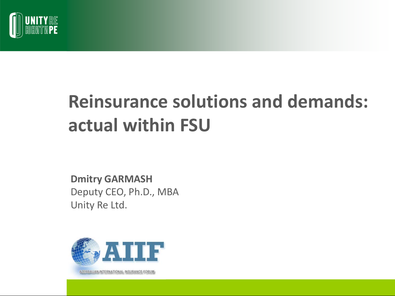

# **Reinsurance solutions and demands: actual within FSU**

**Dmitry GARMASH** Deputy CEO, Ph.D., MBA Unity Re Ltd.

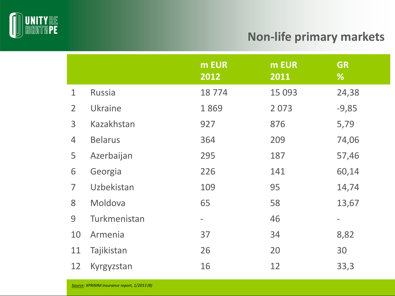

#### **Non-life primary markets**

|                |                | m EUR<br>2012            | m EUR<br>2011 | <b>GR</b><br>%    |
|----------------|----------------|--------------------------|---------------|-------------------|
| $\mathbf 1$    | <b>Russia</b>  | 18774                    | 15 0 93       | 24,38             |
| $\overline{2}$ | Ukraine        | 1869                     | 2073          | $-9,85$           |
| $\overline{3}$ | Kazakhstan     | 927                      | 876           | 5,79              |
| $\overline{4}$ | <b>Belarus</b> | 364                      | 209           | 74,06             |
| 5              | Azerbaijan     | 295                      | 187           | 57,46             |
| 6              | Georgia        | 226                      | 141           | 60,14             |
| $\overline{7}$ | Uzbekistan     | 109                      | 95            | 14,74             |
| 8              | Moldova        | 65                       | 58            | 13,67             |
| 9              | Turkmenistan   | $\overline{\phantom{0}}$ | 46            | $\qquad \qquad -$ |
| 10             | Armenia        | 37                       | 34            | 8,82              |
| 11             | Tajikistan     | 26                       | 20            | 30                |
| 12             | Kyrgyzstan     | 16                       | 12            | 33,3              |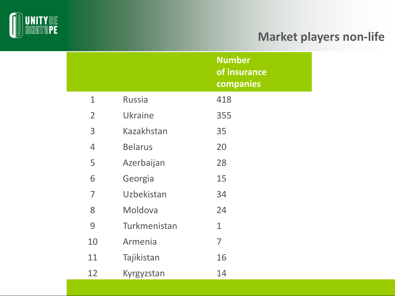

## **Market players non-life**

|                |                | <b>Number</b><br>of insurance<br>companies |
|----------------|----------------|--------------------------------------------|
| $\mathbf{1}$   | <b>Russia</b>  | 418                                        |
| $\overline{2}$ | <b>Ukraine</b> | 355                                        |
| 3              | Kazakhstan     | 35                                         |
| 4              | <b>Belarus</b> | 20                                         |
| 5              | Azerbaijan     | 28                                         |
| 6              | Georgia        | 15                                         |
| $\overline{7}$ | Uzbekistan     | 34                                         |
| 8              | Moldova        | 24                                         |
| 9              | Turkmenistan   | $\mathbf{1}$                               |
| 10             | Armenia        | 7                                          |
| 11             | Tajikistan     | 16                                         |
| 12             | Kyrgyzstan     | 14                                         |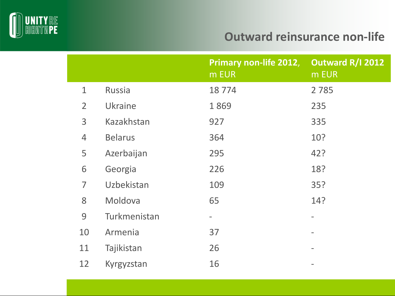

### **Outward reinsurance non-life**

|                |                | Primary non-life 2012,<br>m EUR | Outward R/I 2012<br>m EUR |
|----------------|----------------|---------------------------------|---------------------------|
| $\mathbf{1}$   | <b>Russia</b>  | 18774                           | 2 7 8 5                   |
| $\overline{2}$ | Ukraine        | 1869                            | 235                       |
| 3              | Kazakhstan     | 927                             | 335                       |
| $\overline{4}$ | <b>Belarus</b> | 364                             | 10?                       |
| 5              | Azerbaijan     | 295                             | 42?                       |
| 6              | Georgia        | 226                             | 18?                       |
| 7              | Uzbekistan     | 109                             | 35?                       |
| 8              | Moldova        | 65                              | 14?                       |
| 9              | Turkmenistan   | $\qquad \qquad \blacksquare$    |                           |
| 10             | Armenia        | 37                              |                           |
| 11             | Tajikistan     | 26                              |                           |
| 12             | Kyrgyzstan     | 16                              |                           |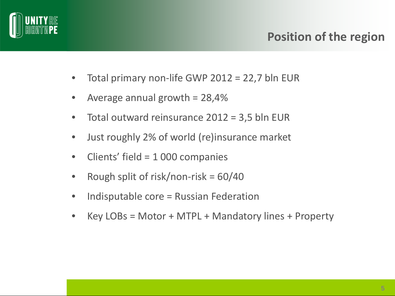

### **Position of the region**

- Total primary non-life GWP 2012 = 22,7 bln EUR
- Average annual growth  $= 28,4%$
- Total outward reinsurance  $2012 = 3.5$  bln EUR
- Just roughly 2% of world (re)insurance market
- Clients' field = 1 000 companies
- Rough split of risk/non-risk =  $60/40$
- Indisputable core = Russian Federation
- Key LOBs = Motor + MTPL + Mandatory lines + Property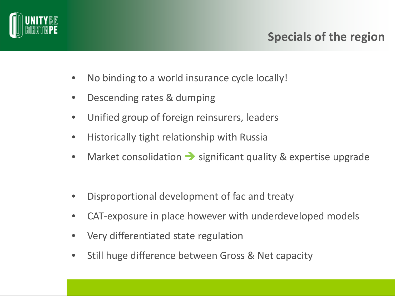

## **Specials of the region**

- No binding to a world insurance cycle locally!
- Descending rates & dumping
- Unified group of foreign reinsurers, leaders
- Historically tight relationship with Russia
- Market consolidation  $\rightarrow$  significant quality & expertise upgrade
- Disproportional development of fac and treaty
- CAT-exposure in place however with underdeveloped models
- Very differentiated state regulation
- Still huge difference between Gross & Net capacity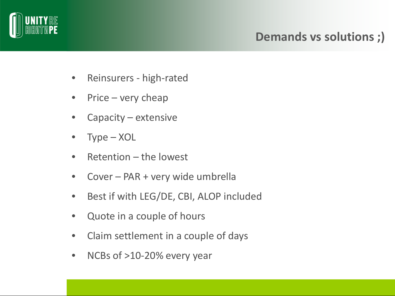

## **Demands vs solutions ;)**

- Reinsurers high-rated
- Price very cheap
- Capacity extensive
- Type XOL
- Retention the lowest
- Cover PAR + very wide umbrella
- Best if with LEG/DE, CBI, ALOP included
- Quote in a couple of hours
- Claim settlement in a couple of days
- NCBs of >10-20% every year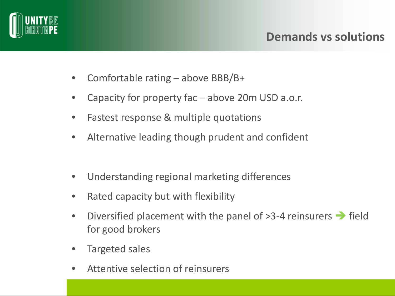

- Comfortable rating above BBB/B+
- Capacity for property fac  $-$  above 20m USD a.o.r.
- Fastest response & multiple quotations
- Alternative leading though prudent and confident
- Understanding regional marketing differences
- Rated capacity but with flexibility
- Diversified placement with the panel of  $>3-4$  reinsurers  $\rightarrow$  field for good brokers
- Targeted sales
- Attentive selection of reinsurers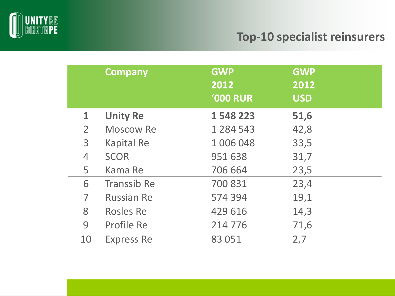

#### **Top-10 specialist reinsurers**

|                | <b>Company</b>     | <b>GWP</b><br>2012<br><b>'000 RUR</b> | <b>GWP</b><br>2012<br><b>USD</b> |
|----------------|--------------------|---------------------------------------|----------------------------------|
| $\mathbf 1$    | <b>Unity Re</b>    | 1 548 223                             | 51,6                             |
| $\overline{2}$ | <b>Moscow Re</b>   | 1 2 8 4 5 4 3                         | 42,8                             |
| 3              | <b>Kapital Re</b>  | 1 006 048                             | 33,5                             |
| $\overline{4}$ | <b>SCOR</b>        | 951 638                               | 31,7                             |
| 5              | Kama Re            | 706 664                               | 23,5                             |
| 6              | <b>Transsib Re</b> | 700 831                               | 23,4                             |
| 7              | <b>Russian Re</b>  | 574 394                               | 19,1                             |
| 8              | <b>Rosles Re</b>   | 429 616                               | 14,3                             |
| 9              | Profile Re         | 214 776                               | 71,6                             |
| 10             | <b>Express Re</b>  | 83 051                                | 2,7                              |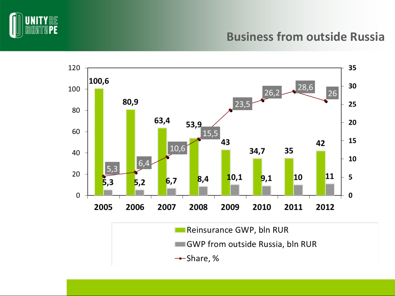

#### **Business from outside Russia**